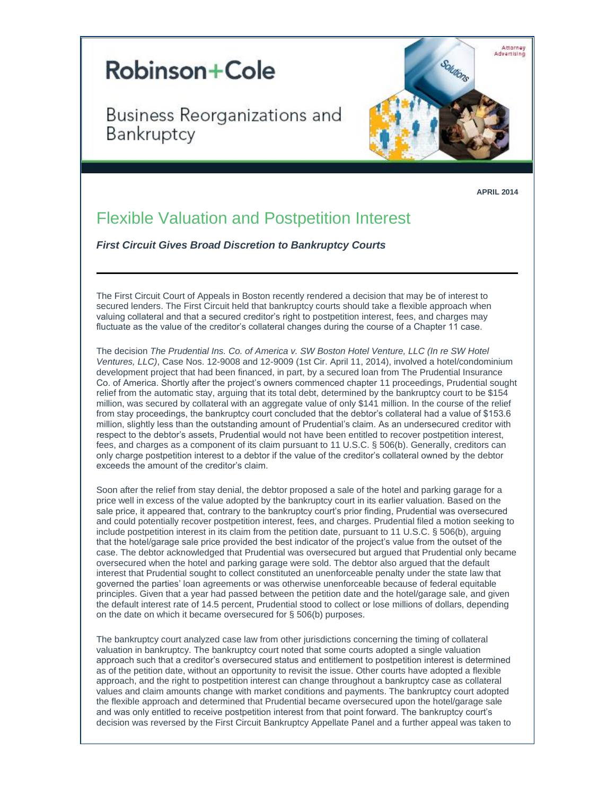

Business Reorganizations and Bankruptcy



**APRIL 2014**

## Flexible Valuation and Postpetition Interest

*First Circuit Gives Broad Discretion to Bankruptcy Courts*

The First Circuit Court of Appeals in Boston recently rendered a decision that may be of interest to secured lenders. The First Circuit held that bankruptcy courts should take a flexible approach when valuing collateral and that a secured creditor's right to postpetition interest, fees, and charges may fluctuate as the value of the creditor's collateral changes during the course of a Chapter 11 case.

The decision *The Prudential Ins. Co. of America v. SW Boston Hotel Venture, LLC (In re SW Hotel Ventures, LLC)*, Case Nos. 12-9008 and 12-9009 (1st Cir. April 11, 2014), involved a hotel/condominium development project that had been financed, in part, by a secured loan from The Prudential Insurance Co. of America. Shortly after the project's owners commenced chapter 11 proceedings, Prudential sought relief from the automatic stay, arguing that its total debt, determined by the bankruptcy court to be \$154 million, was secured by collateral with an aggregate value of only \$141 million. In the course of the relief from stay proceedings, the bankruptcy court concluded that the debtor's collateral had a value of \$153.6 million, slightly less than the outstanding amount of Prudential's claim. As an undersecured creditor with respect to the debtor's assets, Prudential would not have been entitled to recover postpetition interest, fees, and charges as a component of its claim pursuant to 11 U.S.C. § 506(b). Generally, creditors can only charge postpetition interest to a debtor if the value of the creditor's collateral owned by the debtor exceeds the amount of the creditor's claim.

Soon after the relief from stay denial, the debtor proposed a sale of the hotel and parking garage for a price well in excess of the value adopted by the bankruptcy court in its earlier valuation. Based on the sale price, it appeared that, contrary to the bankruptcy court's prior finding, Prudential was oversecured and could potentially recover postpetition interest, fees, and charges. Prudential filed a motion seeking to include postpetition interest in its claim from the petition date, pursuant to 11 U.S.C. § 506(b), arguing that the hotel/garage sale price provided the best indicator of the project's value from the outset of the case. The debtor acknowledged that Prudential was oversecured but argued that Prudential only became oversecured when the hotel and parking garage were sold. The debtor also argued that the default interest that Prudential sought to collect constituted an unenforceable penalty under the state law that governed the parties' loan agreements or was otherwise unenforceable because of federal equitable principles. Given that a year had passed between the petition date and the hotel/garage sale, and given the default interest rate of 14.5 percent, Prudential stood to collect or lose millions of dollars, depending on the date on which it became oversecured for § 506(b) purposes.

The bankruptcy court analyzed case law from other jurisdictions concerning the timing of collateral valuation in bankruptcy. The bankruptcy court noted that some courts adopted a single valuation approach such that a creditor's oversecured status and entitlement to postpetition interest is determined as of the petition date, without an opportunity to revisit the issue. Other courts have adopted a flexible approach, and the right to postpetition interest can change throughout a bankruptcy case as collateral values and claim amounts change with market conditions and payments. The bankruptcy court adopted the flexible approach and determined that Prudential became oversecured upon the hotel/garage sale and was only entitled to receive postpetition interest from that point forward. The bankruptcy court's decision was reversed by the First Circuit Bankruptcy Appellate Panel and a further appeal was taken to